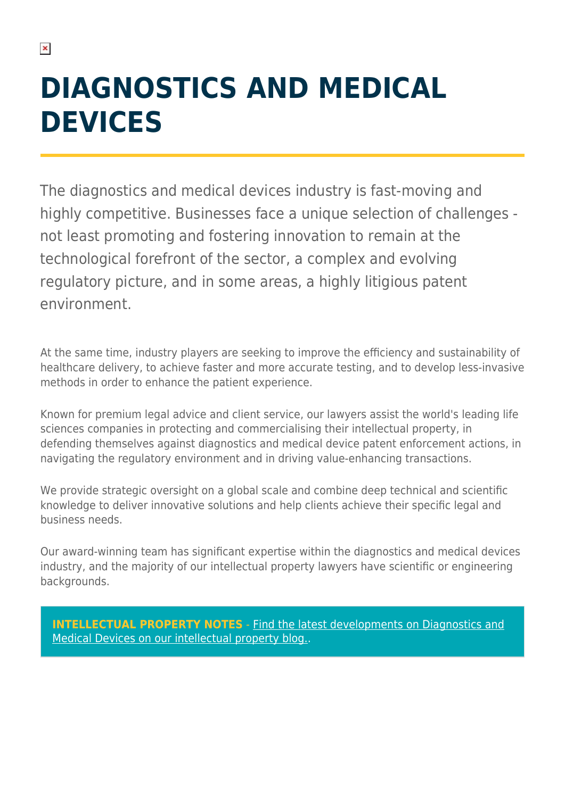# **DIAGNOSTICS AND MEDICAL DEVICES**

The diagnostics and medical devices industry is fast-moving and highly competitive. Businesses face a unique selection of challenges not least promoting and fostering innovation to remain at the technological forefront of the sector, a complex and evolving regulatory picture, and in some areas, a highly litigious patent environment.

At the same time, industry players are seeking to improve the efficiency and sustainability of healthcare delivery, to achieve faster and more accurate testing, and to develop less-invasive methods in order to enhance the patient experience.

Known for premium legal advice and client service, our lawyers assist the world's leading life sciences companies in protecting and commercialising their intellectual property, in defending themselves against diagnostics and medical device patent enforcement actions, in navigating the regulatory environment and in driving value-enhancing transactions.

We provide strategic oversight on a global scale and combine deep technical and scientific knowledge to deliver innovative solutions and help clients achieve their specific legal and business needs.

Our award-winning team has significant expertise within the diagnostics and medical devices industry, and the majority of our intellectual property lawyers have scientific or engineering backgrounds.

**[INTELLECTUAL PROPERTY NOTES](https://hsfnotes.com/ip/?c=diagnostics-and-medical-devices)** [- Find the latest developments on Diagnostics and](https://hsfnotes.com/ip/?c=diagnostics-and-medical-devices) [Medical Devices on our intellectual property blog..](https://hsfnotes.com/ip/?c=diagnostics-and-medical-devices)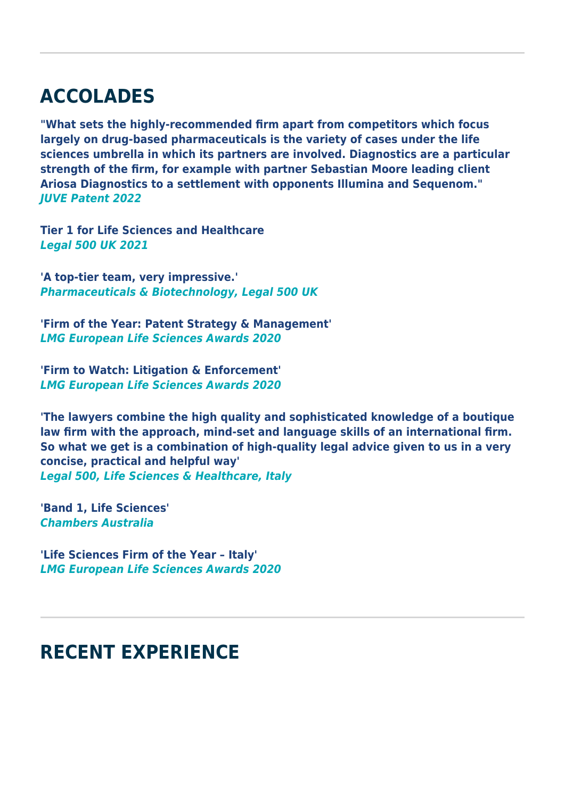# **ACCOLADES**

**"What sets the highly-recommended firm apart from competitors which focus largely on drug-based pharmaceuticals is the variety of cases under the life sciences umbrella in which its partners are involved. Diagnostics are a particular strength of the firm, for example with partner Sebastian Moore leading client Ariosa Diagnostics to a settlement with opponents Illumina and Sequenom."** *JUVE Patent 2022*

**Tier 1 for Life Sciences and Healthcare** *Legal 500 UK 2021*

**'A top-tier team, very impressive.'** *Pharmaceuticals & Biotechnology, Legal 500 UK*

**'Firm of the Year: Patent Strategy & Management'** *LMG European Life Sciences Awards 2020*

**'Firm to Watch: Litigation & Enforcement'** *LMG European Life Sciences Awards 2020*

**'The lawyers combine the high quality and sophisticated knowledge of a boutique law firm with the approach, mind-set and language skills of an international firm. So what we get is a combination of high-quality legal advice given to us in a very concise, practical and helpful way'** *Legal 500, Life Sciences & Healthcare, Italy*

**'Band 1, Life Sciences'** *Chambers Australia*

**'Life Sciences Firm of the Year – Italy'** *LMG European Life Sciences Awards 2020*

### **RECENT EXPERIENCE**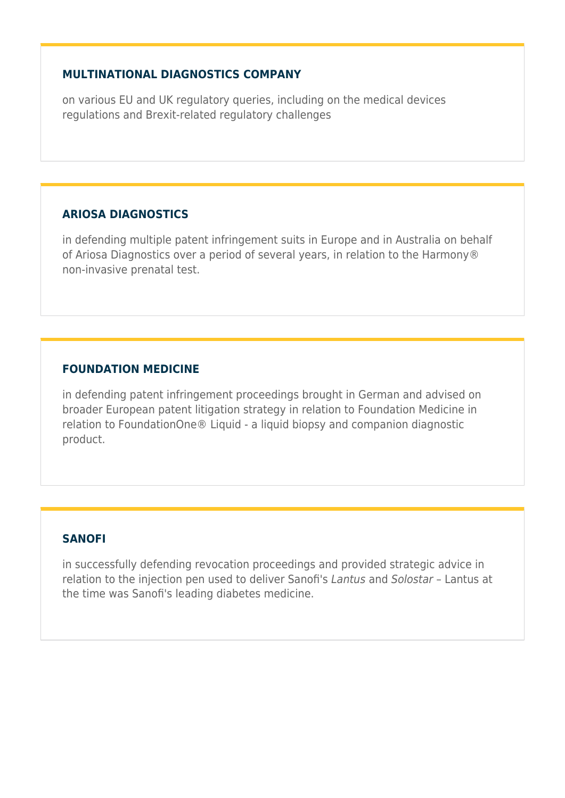#### **MULTINATIONAL DIAGNOSTICS COMPANY**

on various EU and UK regulatory queries, including on the medical devices regulations and Brexit-related regulatory challenges

#### **ARIOSA DIAGNOSTICS**

in defending multiple patent infringement suits in Europe and in Australia on behalf of Ariosa Diagnostics over a period of several years, in relation to the Harmony® non-invasive prenatal test.

#### **FOUNDATION MEDICINE**

in defending patent infringement proceedings brought in German and advised on broader European patent litigation strategy in relation to Foundation Medicine in relation to FoundationOne® Liquid - a liquid biopsy and companion diagnostic product.

#### **SANOFI**

in successfully defending revocation proceedings and provided strategic advice in relation to the injection pen used to deliver Sanofi's Lantus and Solostar – Lantus at the time was Sanofi's leading diabetes medicine.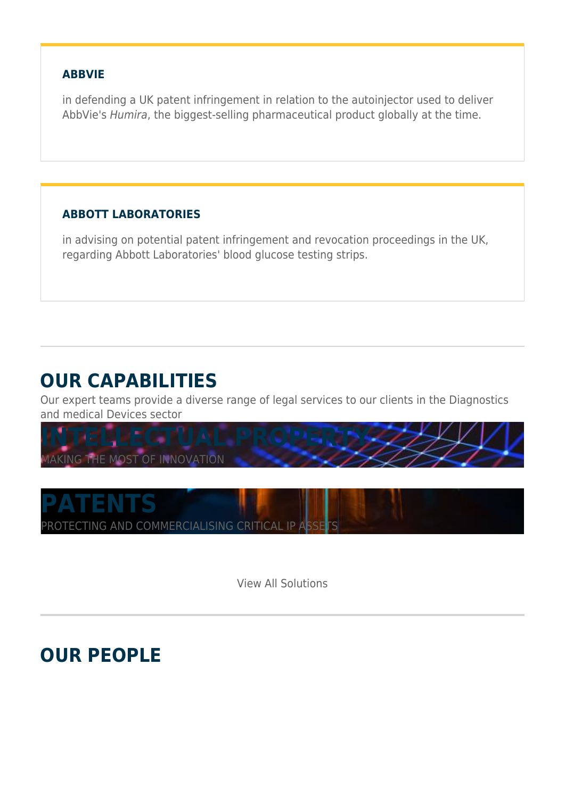#### **ABBVIE**

in defending a UK patent infringement in relation to the autoinjector used to deliver AbbVie's Humira, the biggest-selling pharmaceutical product globally at the time.

#### **ABBOTT LABORATORIES**

in advising on potential patent infringement and revocation proceedings in the UK, regarding Abbott Laboratories' blood glucose testing strips.

### **OUR CAPABILITIES**

Our expert teams provide a diverse range of legal services to our clients in the Diagnostics and medical Devices sector





View All Solutions

## **OUR PEOPLE**